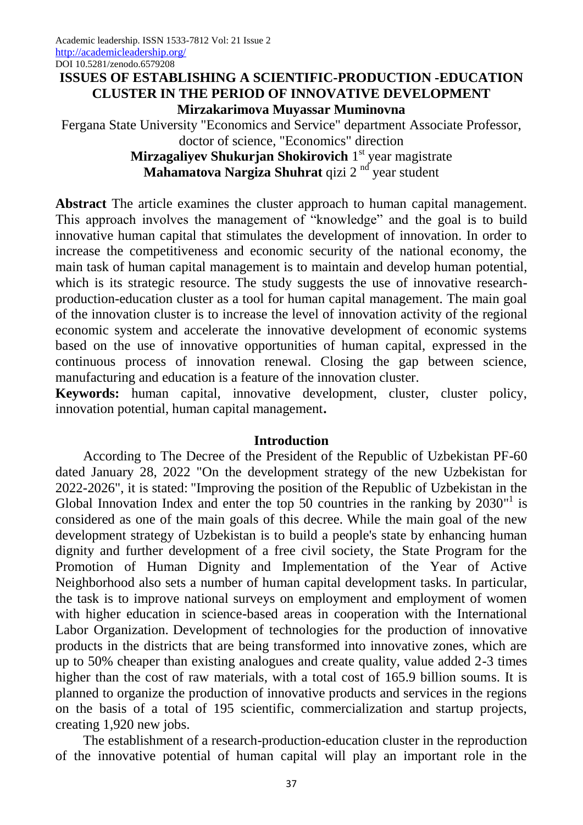## **ISSUES OF ESTABLISHING A SCIENTIFIC-PRODUCTION -EDUCATION CLUSTER IN THE PERIOD OF INNOVATIVE DEVELOPMENT Mirzakarimova Muyassar Muminovna**

Fergana State University "Economics and Service" department Associate Professor, doctor of science, "Economics" direction **Mirzagaliyev Shukurjan Shokirovich** 1 st year magistrate

Mahamatova Nargiza Shuhrat qizi 2<sup>nd</sup> year student

**Abstract** The article examines the cluster approach to human capital management. This approach involves the management of "knowledge" and the goal is to build innovative human capital that stimulates the development of innovation. In order to increase the competitiveness and economic security of the national economy, the main task of human capital management is to maintain and develop human potential, which is its strategic resource. The study suggests the use of innovative researchproduction-education cluster as a tool for human capital management. The main goal of the innovation cluster is to increase the level of innovation activity of the regional economic system and accelerate the innovative development of economic systems based on the use of innovative opportunities of human capital, expressed in the continuous process of innovation renewal. Closing the gap between science, manufacturing and education is a feature of the innovation cluster.

**Keywords:** human capital, innovative development, cluster, cluster policy, innovation potential, human capital management**.**

## **Introduction**

According to The Decree of the President of the Republic of Uzbekistan PF-60 dated January 28, 2022 "On the development strategy of the new Uzbekistan for 2022-2026", it is stated: "Improving the position of the Republic of Uzbekistan in the Global Innovation Index and enter the top 50 countries in the ranking by  $2030<sup>1</sup>$  is considered as one of the main goals of this decree. While the main goal of the new development strategy of Uzbekistan is to build a people's state by enhancing human dignity and further development of a free civil society, the State Program for the Promotion of Human Dignity and Implementation of the Year of Active Neighborhood also sets a number of human capital development tasks. In particular, the task is to improve national surveys on employment and employment of women with higher education in science-based areas in cooperation with the International Labor Organization. Development of technologies for the production of innovative products in the districts that are being transformed into innovative zones, which are up to 50% cheaper than existing analogues and create quality, value added 2-3 times higher than the cost of raw materials, with a total cost of 165.9 billion soums. It is planned to organize the production of innovative products and services in the regions on the basis of a total of 195 scientific, commercialization and startup projects, creating 1,920 new jobs.

The establishment of a research-production-education cluster in the reproduction of the innovative potential of human capital will play an important role in the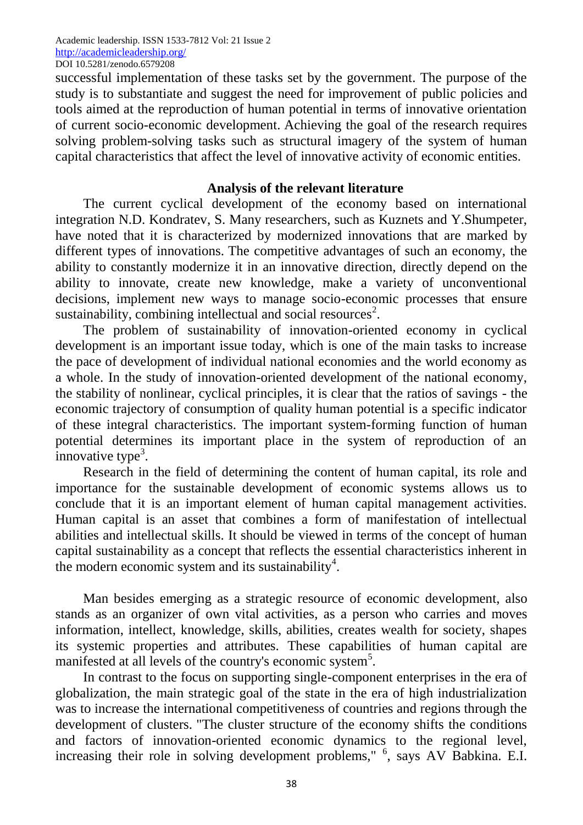successful implementation of these tasks set by the government. The purpose of the study is to substantiate and suggest the need for improvement of public policies and tools aimed at the reproduction of human potential in terms of innovative orientation of current socio-economic development. Achieving the goal of the research requires solving problem-solving tasks such as structural imagery of the system of human capital characteristics that affect the level of innovative activity of economic entities.

#### **Analysis of the relevant literature**

The current cyclical development of the economy based on international integration N.D. Kondratev, S. Many researchers, such as Kuznets and Y.Shumpeter, have noted that it is characterized by modernized innovations that are marked by different types of innovations. The competitive advantages of such an economy, the ability to constantly modernize it in an innovative direction, directly depend on the ability to innovate, create new knowledge, make a variety of unconventional decisions, implement new ways to manage socio-economic processes that ensure sustainability, combining intellectual and social resources<sup>2</sup>.

The problem of sustainability of innovation-oriented economy in cyclical development is an important issue today, which is one of the main tasks to increase the pace of development of individual national economies and the world economy as a whole. In the study of innovation-oriented development of the national economy, the stability of nonlinear, cyclical principles, it is clear that the ratios of savings - the economic trajectory of consumption of quality human potential is a specific indicator of these integral characteristics. The important system-forming function of human potential determines its important place in the system of reproduction of an  $\frac{1}{2}$ innovative type<sup>3</sup>.

Research in the field of determining the content of human capital, its role and importance for the sustainable development of economic systems allows us to conclude that it is an important element of human capital management activities. Human capital is an asset that combines a form of manifestation of intellectual abilities and intellectual skills. It should be viewed in terms of the concept of human capital sustainability as a concept that reflects the essential characteristics inherent in the modern economic system and its sustainability<sup>4</sup>.

Man besides emerging as a strategic resource of economic development, also stands as an organizer of own vital activities, as a person who carries and moves information, intellect, knowledge, skills, abilities, creates wealth for society, shapes its systemic properties and attributes. These capabilities of human capital are manifested at all levels of the country's economic system<sup>5</sup>.

In contrast to the focus on supporting single-component enterprises in the era of globalization, the main strategic goal of the state in the era of high industrialization was to increase the international competitiveness of countries and regions through the development of clusters. "The cluster structure of the economy shifts the conditions and factors of innovation-oriented economic dynamics to the regional level, increasing their role in solving development problems," <sup>6</sup>, says AV Babkina. E.I.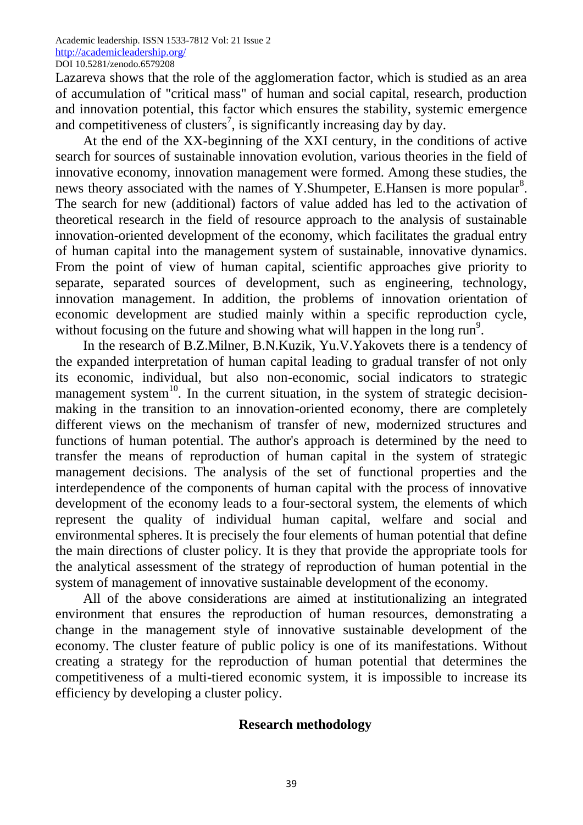Lazareva shows that the role of the agglomeration factor, which is studied as an area of accumulation of "critical mass" of human and social capital, research, production and innovation potential, this factor which ensures the stability, systemic emergence and competitiveness of clusters<sup>7</sup>, is significantly increasing day by day.

At the end of the XX-beginning of the XXI century, in the conditions of active search for sources of sustainable innovation evolution, various theories in the field of innovative economy, innovation management were formed. Among these studies, the news theory associated with the names of Y.Shumpeter, E.Hansen is more popular<sup>8</sup>. The search for new (additional) factors of value added has led to the activation of theoretical research in the field of resource approach to the analysis of sustainable innovation-oriented development of the economy, which facilitates the gradual entry of human capital into the management system of sustainable, innovative dynamics. From the point of view of human capital, scientific approaches give priority to separate, separated sources of development, such as engineering, technology, innovation management. In addition, the problems of innovation orientation of economic development are studied mainly within a specific reproduction cycle, without focusing on the future and showing what will happen in the long run<sup>9</sup>.

In the research of B.Z.Milner, B.N.Kuzik, Yu.V.Yakovets there is a tendency of the expanded interpretation of human capital leading to gradual transfer of not only its economic, individual, but also non-economic, social indicators to strategic management system $10$ . In the current situation, in the system of strategic decisionmaking in the transition to an innovation-oriented economy, there are completely different views on the mechanism of transfer of new, modernized structures and functions of human potential. The author's approach is determined by the need to transfer the means of reproduction of human capital in the system of strategic management decisions. The analysis of the set of functional properties and the interdependence of the components of human capital with the process of innovative development of the economy leads to a four-sectoral system, the elements of which represent the quality of individual human capital, welfare and social and environmental spheres. It is precisely the four elements of human potential that define the main directions of cluster policy. It is they that provide the appropriate tools for the analytical assessment of the strategy of reproduction of human potential in the system of management of innovative sustainable development of the economy.

All of the above considerations are aimed at institutionalizing an integrated environment that ensures the reproduction of human resources, demonstrating a change in the management style of innovative sustainable development of the economy. The cluster feature of public policy is one of its manifestations. Without creating a strategy for the reproduction of human potential that determines the competitiveness of a multi-tiered economic system, it is impossible to increase its efficiency by developing a cluster policy.

## **Research methodology**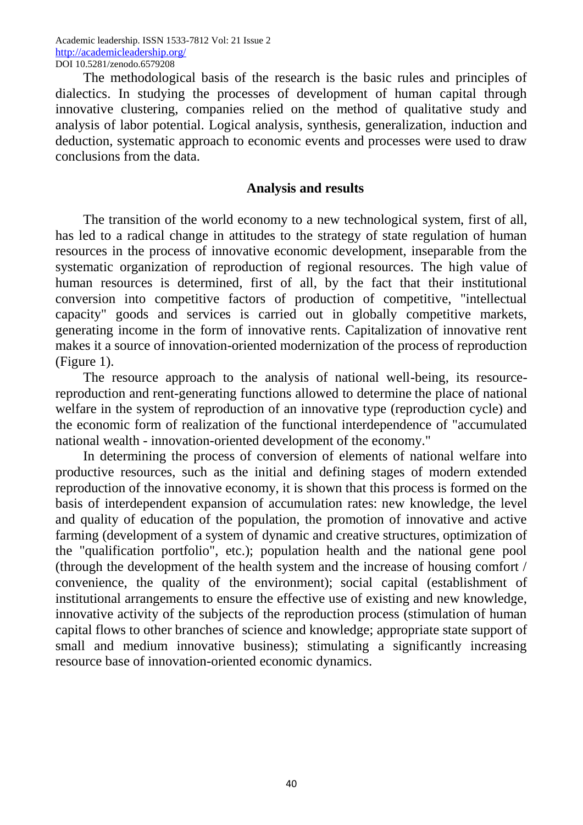The methodological basis of the research is the basic rules and principles of dialectics. In studying the processes of development of human capital through innovative clustering, companies relied on the method of qualitative study and analysis of labor potential. Logical analysis, synthesis, generalization, induction and deduction, systematic approach to economic events and processes were used to draw conclusions from the data.

#### **Analysis and results**

The transition of the world economy to a new technological system, first of all, has led to a radical change in attitudes to the strategy of state regulation of human resources in the process of innovative economic development, inseparable from the systematic organization of reproduction of regional resources. The high value of human resources is determined, first of all, by the fact that their institutional conversion into competitive factors of production of competitive, "intellectual capacity" goods and services is carried out in globally competitive markets, generating income in the form of innovative rents. Capitalization of innovative rent makes it a source of innovation-oriented modernization of the process of reproduction (Figure 1).

The resource approach to the analysis of national well-being, its resourcereproduction and rent-generating functions allowed to determine the place of national welfare in the system of reproduction of an innovative type (reproduction cycle) and the economic form of realization of the functional interdependence of "accumulated national wealth - innovation-oriented development of the economy."

In determining the process of conversion of elements of national welfare into productive resources, such as the initial and defining stages of modern extended reproduction of the innovative economy, it is shown that this process is formed on the basis of interdependent expansion of accumulation rates: new knowledge, the level and quality of education of the population, the promotion of innovative and active farming (development of a system of dynamic and creative structures, optimization of the "qualification portfolio", etc.); population health and the national gene pool (through the development of the health system and the increase of housing comfort / convenience, the quality of the environment); social capital (establishment of institutional arrangements to ensure the effective use of existing and new knowledge, innovative activity of the subjects of the reproduction process (stimulation of human capital flows to other branches of science and knowledge; appropriate state support of small and medium innovative business); stimulating a significantly increasing resource base of innovation-oriented economic dynamics.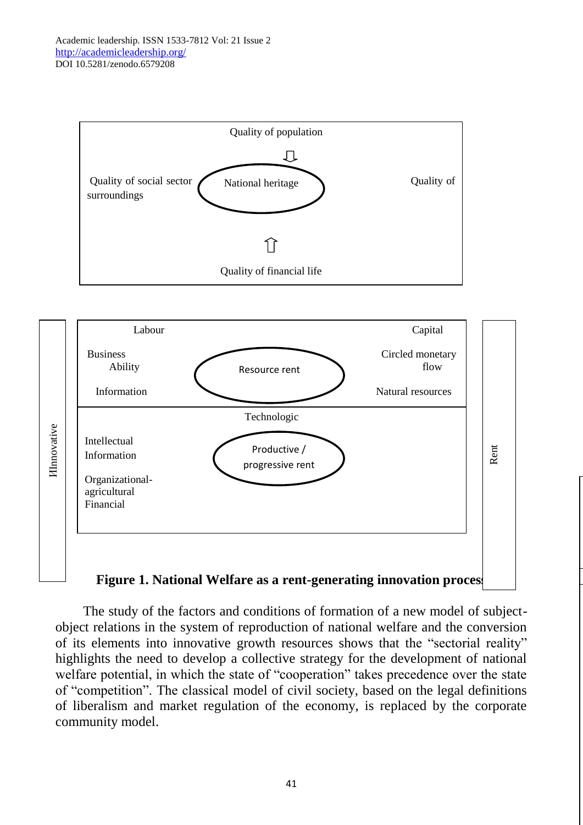



The study of the factors and conditions of formation of a new model of subjectobject relations in the system of reproduction of national welfare and the conversion of its elements into innovative growth resources shows that the "sectorial reality" highlights the need to develop a collective strategy for the development of national welfare potential, in which the state of "cooperation" takes precedence over the state of "competition". The classical model of civil society, based on the legal definitions of liberalism and market regulation of the economy, is replaced by the corporate community model.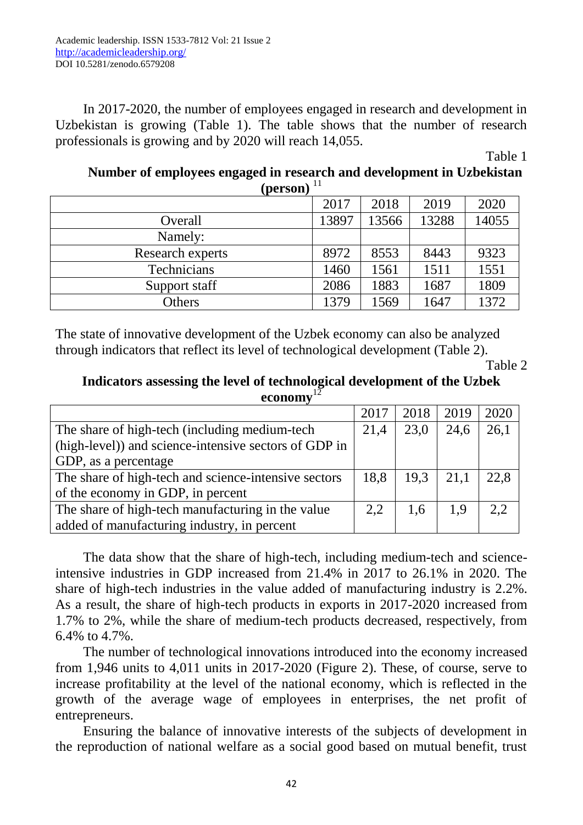In 2017-2020, the number of employees engaged in research and development in Uzbekistan is growing (Table 1). The table shows that the number of research professionals is growing and by 2020 will reach 14,055.

Table 1

# **Number of employees engaged in research and development in Uzbekistan**   $(nerson)^{11}$

| $\mathbf{u}$     |       |       |       |       |  |  |  |
|------------------|-------|-------|-------|-------|--|--|--|
|                  | 2017  | 2018  | 2019  | 2020  |  |  |  |
| Overall          | 13897 | 13566 | 13288 | 14055 |  |  |  |
| Namely:          |       |       |       |       |  |  |  |
| Research experts | 8972  | 8553  | 8443  | 9323  |  |  |  |
| Technicians      | 1460  | 1561  | 1511  | 1551  |  |  |  |
| Support staff    | 2086  | 1883  | 1687  | 1809  |  |  |  |
| <b>Others</b>    | 1379  | 1569  | 1647  | 1372  |  |  |  |

The state of innovative development of the Uzbek economy can also be analyzed through indicators that reflect its level of technological development (Table 2).

Table 2

## **Indicators assessing the level of technological development of the Uzbek economy**<sup>1</sup>

|                                                       | 2017 | 2018 | 2019 | 2020 |
|-------------------------------------------------------|------|------|------|------|
| The share of high-tech (including medium-tech         | 21,4 | 23,0 | 24,6 | 26,1 |
| (high-level)) and science-intensive sectors of GDP in |      |      |      |      |
| GDP, as a percentage                                  |      |      |      |      |
| The share of high-tech and science-intensive sectors  | 18,8 | 19.3 | 21,1 | 22,8 |
| of the economy in GDP, in percent                     |      |      |      |      |
| The share of high-tech manufacturing in the value     | 2.2  | 1.6  | 1.9  | 2.2  |
| added of manufacturing industry, in percent           |      |      |      |      |

The data show that the share of high-tech, including medium-tech and scienceintensive industries in GDP increased from 21.4% in 2017 to 26.1% in 2020. The share of high-tech industries in the value added of manufacturing industry is 2.2%. As a result, the share of high-tech products in exports in 2017-2020 increased from 1.7% to 2%, while the share of medium-tech products decreased, respectively, from 6.4% to 4.7%.

The number of technological innovations introduced into the economy increased from 1,946 units to 4,011 units in 2017-2020 (Figure 2). These, of course, serve to increase profitability at the level of the national economy, which is reflected in the growth of the average wage of employees in enterprises, the net profit of entrepreneurs.

Ensuring the balance of innovative interests of the subjects of development in the reproduction of national welfare as a social good based on mutual benefit, trust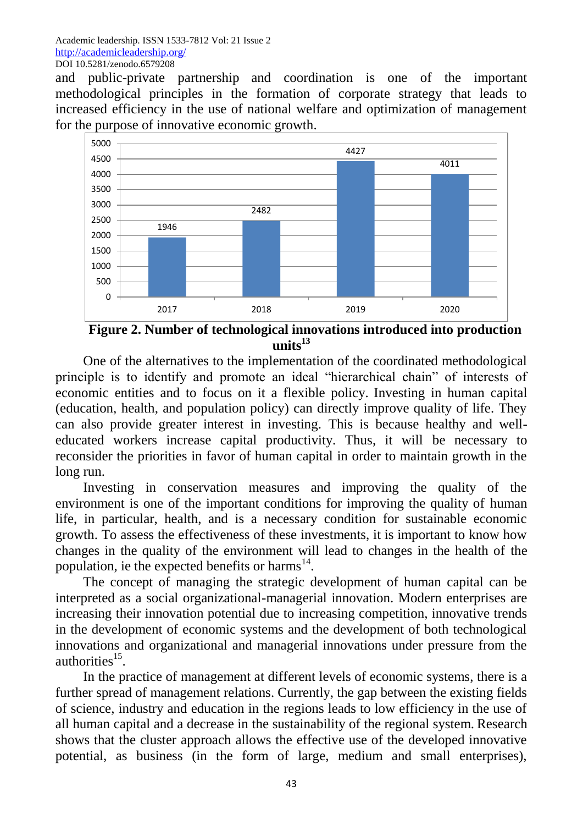and public-private partnership and coordination is one of the important methodological principles in the formation of corporate strategy that leads to increased efficiency in the use of national welfare and optimization of management for the purpose of innovative economic growth.



**Figure 2. Number of technological innovations introduced into production units<sup>13</sup>**

One of the alternatives to the implementation of the coordinated methodological principle is to identify and promote an ideal "hierarchical chain" of interests of economic entities and to focus on it a flexible policy. Investing in human capital (education, health, and population policy) can directly improve quality of life. They can also provide greater interest in investing. This is because healthy and welleducated workers increase capital productivity. Thus, it will be necessary to reconsider the priorities in favor of human capital in order to maintain growth in the long run.

Investing in conservation measures and improving the quality of the environment is one of the important conditions for improving the quality of human life, in particular, health, and is a necessary condition for sustainable economic growth. To assess the effectiveness of these investments, it is important to know how changes in the quality of the environment will lead to changes in the health of the population, ie the expected benefits or harms<sup>14</sup>.

The concept of managing the strategic development of human capital can be interpreted as a social organizational-managerial innovation. Modern enterprises are increasing their innovation potential due to increasing competition, innovative trends in the development of economic systems and the development of both technological innovations and organizational and managerial innovations under pressure from the authorities<sup>15</sup>.

In the practice of management at different levels of economic systems, there is a further spread of management relations. Currently, the gap between the existing fields of science, industry and education in the regions leads to low efficiency in the use of all human capital and a decrease in the sustainability of the regional system. Research shows that the cluster approach allows the effective use of the developed innovative potential, as business (in the form of large, medium and small enterprises),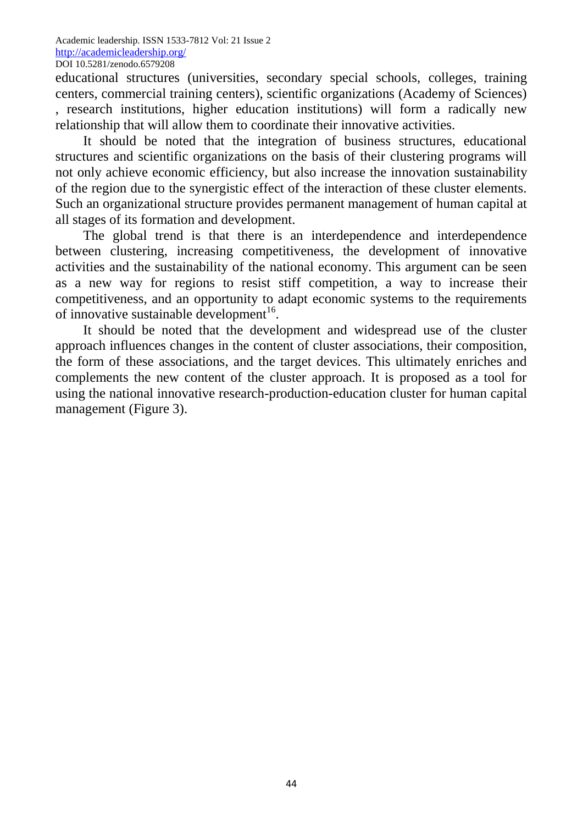educational structures (universities, secondary special schools, colleges, training centers, commercial training centers), scientific organizations (Academy of Sciences) , research institutions, higher education institutions) will form a radically new relationship that will allow them to coordinate their innovative activities.

It should be noted that the integration of business structures, educational structures and scientific organizations on the basis of their clustering programs will not only achieve economic efficiency, but also increase the innovation sustainability of the region due to the synergistic effect of the interaction of these cluster elements. Such an organizational structure provides permanent management of human capital at all stages of its formation and development.

The global trend is that there is an interdependence and interdependence between clustering, increasing competitiveness, the development of innovative activities and the sustainability of the national economy. This argument can be seen as a new way for regions to resist stiff competition, a way to increase their competitiveness, and an opportunity to adapt economic systems to the requirements of innovative sustainable development<sup>16</sup>.

It should be noted that the development and widespread use of the cluster approach influences changes in the content of cluster associations, their composition, the form of these associations, and the target devices. This ultimately enriches and complements the new content of the cluster approach. It is proposed as a tool for using the national innovative research-production-education cluster for human capital management (Figure 3).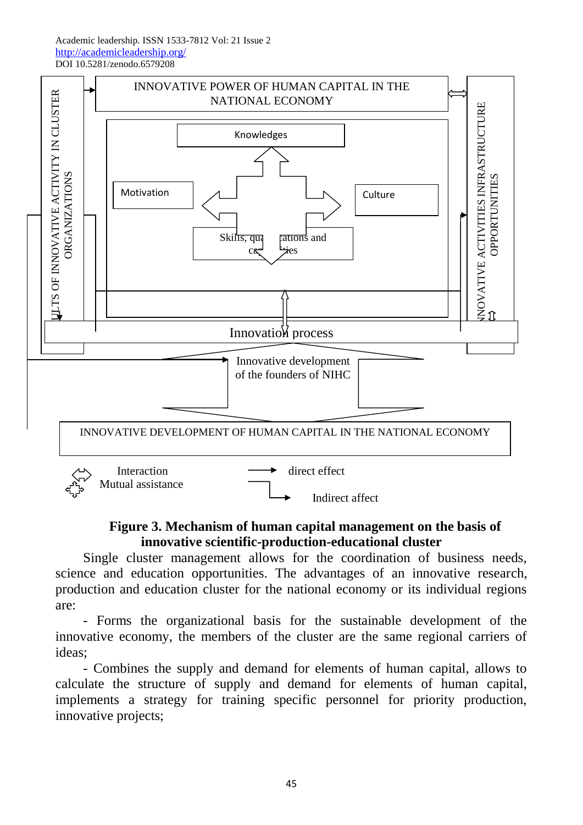

## **Figure 3. Mechanism of human capital management on the basis of innovative scientific-production-educational cluster**

Single cluster management allows for the coordination of business needs, science and education opportunities. The advantages of an innovative research, production and education cluster for the national economy or its individual regions are:

- Forms the organizational basis for the sustainable development of the innovative economy, the members of the cluster are the same regional carriers of ideas;

- Combines the supply and demand for elements of human capital, allows to calculate the structure of supply and demand for elements of human capital, implements a strategy for training specific personnel for priority production, innovative projects;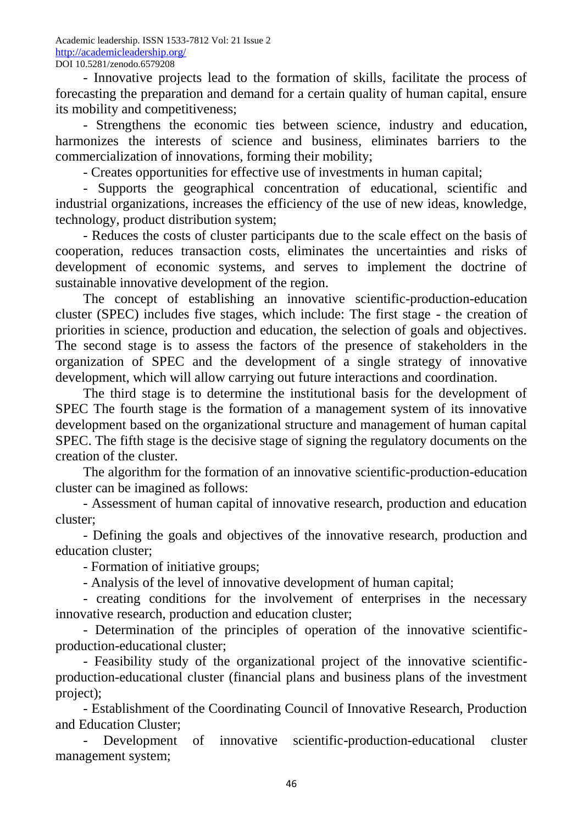- Innovative projects lead to the formation of skills, facilitate the process of forecasting the preparation and demand for a certain quality of human capital, ensure its mobility and competitiveness;

- Strengthens the economic ties between science, industry and education, harmonizes the interests of science and business, eliminates barriers to the commercialization of innovations, forming their mobility;

- Creates opportunities for effective use of investments in human capital;

- Supports the geographical concentration of educational, scientific and industrial organizations, increases the efficiency of the use of new ideas, knowledge, technology, product distribution system;

- Reduces the costs of cluster participants due to the scale effect on the basis of cooperation, reduces transaction costs, eliminates the uncertainties and risks of development of economic systems, and serves to implement the doctrine of sustainable innovative development of the region.

The concept of establishing an innovative scientific-production-education cluster (SPEC) includes five stages, which include: The first stage - the creation of priorities in science, production and education, the selection of goals and objectives. The second stage is to assess the factors of the presence of stakeholders in the organization of SPEC and the development of a single strategy of innovative development, which will allow carrying out future interactions and coordination.

The third stage is to determine the institutional basis for the development of SPEC The fourth stage is the formation of a management system of its innovative development based on the organizational structure and management of human capital SPEC. The fifth stage is the decisive stage of signing the regulatory documents on the creation of the cluster.

The algorithm for the formation of an innovative scientific-production-education cluster can be imagined as follows:

- Assessment of human capital of innovative research, production and education cluster;

- Defining the goals and objectives of the innovative research, production and education cluster;

- Formation of initiative groups;

- Analysis of the level of innovative development of human capital;

- creating conditions for the involvement of enterprises in the necessary innovative research, production and education cluster;

- Determination of the principles of operation of the innovative scientificproduction-educational cluster;

- Feasibility study of the organizational project of the innovative scientificproduction-educational cluster (financial plans and business plans of the investment project);

- Establishment of the Coordinating Council of Innovative Research, Production and Education Cluster;

- Development of innovative scientific-production-educational cluster management system;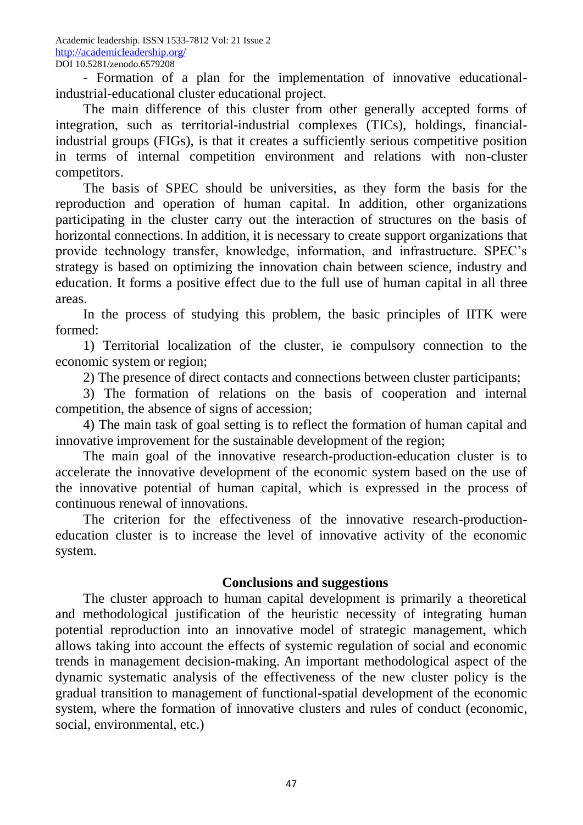- Formation of a plan for the implementation of innovative educationalindustrial-educational cluster educational project.

The main difference of this cluster from other generally accepted forms of integration, such as territorial-industrial complexes (TICs), holdings, financialindustrial groups (FIGs), is that it creates a sufficiently serious competitive position in terms of internal competition environment and relations with non-cluster competitors.

The basis of SPEC should be universities, as they form the basis for the reproduction and operation of human capital. In addition, other organizations participating in the cluster carry out the interaction of structures on the basis of horizontal connections. In addition, it is necessary to create support organizations that provide technology transfer, knowledge, information, and infrastructure. SPEC's strategy is based on optimizing the innovation chain between science, industry and education. It forms a positive effect due to the full use of human capital in all three areas.

In the process of studying this problem, the basic principles of IITK were formed:

1) Territorial localization of the cluster, ie compulsory connection to the economic system or region;

2) The presence of direct contacts and connections between cluster participants;

3) The formation of relations on the basis of cooperation and internal competition, the absence of signs of accession;

4) The main task of goal setting is to reflect the formation of human capital and innovative improvement for the sustainable development of the region;

The main goal of the innovative research-production-education cluster is to accelerate the innovative development of the economic system based on the use of the innovative potential of human capital, which is expressed in the process of continuous renewal of innovations.

The criterion for the effectiveness of the innovative research-productioneducation cluster is to increase the level of innovative activity of the economic system.

# **Conclusions and suggestions**

The cluster approach to human capital development is primarily a theoretical and methodological justification of the heuristic necessity of integrating human potential reproduction into an innovative model of strategic management, which allows taking into account the effects of systemic regulation of social and economic trends in management decision-making. An important methodological aspect of the dynamic systematic analysis of the effectiveness of the new cluster policy is the gradual transition to management of functional-spatial development of the economic system, where the formation of innovative clusters and rules of conduct (economic, social, environmental, etc.)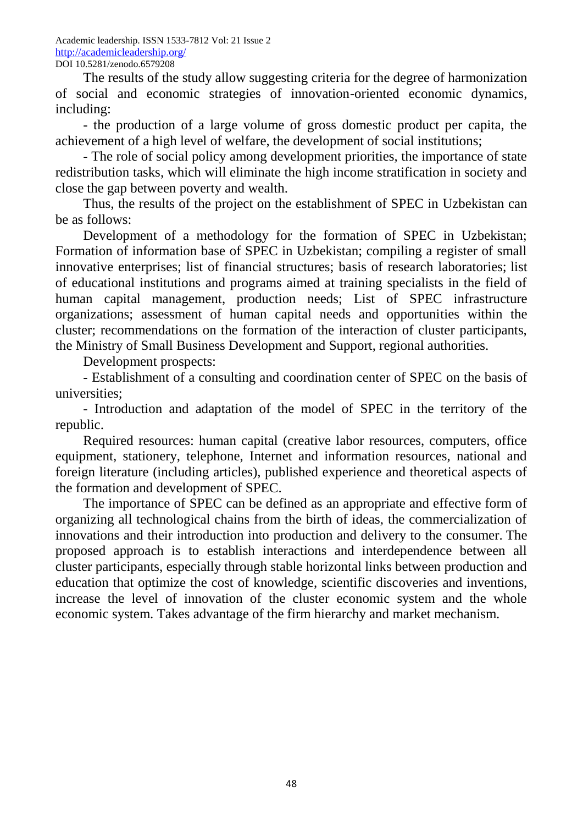The results of the study allow suggesting criteria for the degree of harmonization of social and economic strategies of innovation-oriented economic dynamics, including:

- the production of a large volume of gross domestic product per capita, the achievement of a high level of welfare, the development of social institutions;

- The role of social policy among development priorities, the importance of state redistribution tasks, which will eliminate the high income stratification in society and close the gap between poverty and wealth.

Thus, the results of the project on the establishment of SPEC in Uzbekistan can be as follows:

Development of a methodology for the formation of SPEC in Uzbekistan; Formation of information base of SPEC in Uzbekistan; compiling a register of small innovative enterprises; list of financial structures; basis of research laboratories; list of educational institutions and programs aimed at training specialists in the field of human capital management, production needs; List of SPEC infrastructure organizations; assessment of human capital needs and opportunities within the cluster; recommendations on the formation of the interaction of cluster participants, the Ministry of Small Business Development and Support, regional authorities.

Development prospects:

- Establishment of a consulting and coordination center of SPEC on the basis of universities;

- Introduction and adaptation of the model of SPEC in the territory of the republic.

Required resources: human capital (creative labor resources, computers, office equipment, stationery, telephone, Internet and information resources, national and foreign literature (including articles), published experience and theoretical aspects of the formation and development of SPEC.

The importance of SPEC can be defined as an appropriate and effective form of organizing all technological chains from the birth of ideas, the commercialization of innovations and their introduction into production and delivery to the consumer. The proposed approach is to establish interactions and interdependence between all cluster participants, especially through stable horizontal links between production and education that optimize the cost of knowledge, scientific discoveries and inventions, increase the level of innovation of the cluster economic system and the whole economic system. Takes advantage of the firm hierarchy and market mechanism.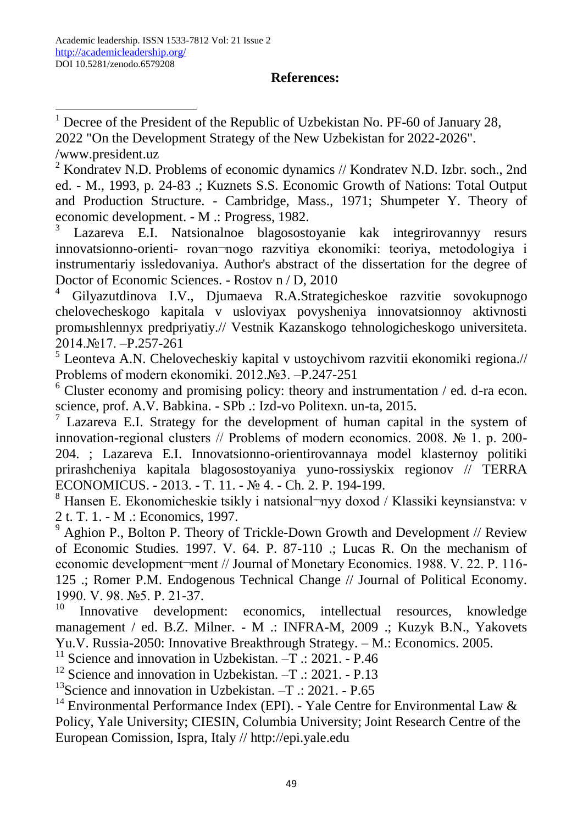## **References:**

**.**  $1$  Decree of the President of the Republic of Uzbekistan No. PF-60 of January 28, 2022 "On the Development Strategy of the New Uzbekistan for 2022-2026". /www.president.uz

<sup>2</sup> Kondratev N.D. Problems of economic dynamics  $//$  Kondratev N.D. Izbr. soch., 2nd ed. - M., 1993, p. 24-83 .; Kuznets S.S. Economic Growth of Nations: Total Output and Production Structure. - Cambridge, Mass., 1971; Shumpeter Y. Theory of economic development. - M .: Progress, 1982.

3 Lazareva E.I. Natsionalnoe blagosostoyanie kak integrirovannyy resurs innovatsionno-orienti- rovan¬nogo razvitiya ekonomiki: teoriya, metodologiya i instrumentariy issledovaniya. Author's abstract of the dissertation for the degree of Doctor of Economic Sciences. - Rostov n / D, 2010

<sup>4</sup> Gilyazutdinova I.V., Djumaeva R.A.Strategicheskoe razvitie sovokupnogo chelovecheskogo kapitala v usloviyax povysheniya innovatsionnoy aktivnosti promыshlennyx predpriyatiy.// Vestnik Kazanskogo tehnologicheskogo universiteta. 2014.№17. –P.257-261

<sup>5</sup> Leonteva A.N. Chelovecheskiy kapital v ustoychivom razvitii ekonomiki regiona.// Problems of modern ekonomiki. 2012.№3. –P.247-251

 $6$  Cluster economy and promising policy: theory and instrumentation  $/$  ed. d-ra econ. science, prof. A.V. Babkina. - SPb .: Izd-vo Politexn. un-ta, 2015.

 $\frac{7}{7}$  Lazareva E.I. Strategy for the development of human capital in the system of innovation-regional clusters // Problems of modern economics. 2008. № 1. p. 200- 204. ; Lazareva E.I. Innovatsionno-orientirovannaya model klasternoy politiki prirashcheniya kapitala blagosostoyaniya yuno-rossiyskix regionov // TERRA ECONOMICUS. - 2013. - Т. 11. - № 4. - Ch. 2. P. 194-199.

<sup>8</sup> Hansen E. Ekonomicheskie tsikly i natsional¬nyy doxod / Klassiki keynsianstva: v 2 t. T. 1. - M .: Economics, 1997.

 $9$  Aghion P., Bolton P. Theory of Trickle-Down Growth and Development  $//$  Review of Economic Studies. 1997. V. 64. P. 87-110 .; Lucas R. On the mechanism of economic development¬ment // Journal of Monetary Economics. 1988. V. 22. P. 116-125 .; Romer P.M. Endogenous Technical Change // Journal of Political Economy. 1990. V. 98. №5. P. 21-37.<br><sup>10</sup> Innovative developm

Innovative development: economics, intellectual resources, knowledge management / ed. B.Z. Milner. - M .: INFRA-M, 2009 .; Kuzyk B.N., Yakovets Yu.V. Russia-2050: Innovative Breakthrough Strategy. – M.: Economics. 2005.

<sup>11</sup> Science and innovation in Uzbekistan.  $-\overline{T}$  .: 2021. - P.46

<sup>12</sup> Science and innovation in Uzbekistan.  $-T$   $\therefore$  2021. - P.13

<sup>13</sup>Science and innovation in Uzbekistan.  $-T$   $\therefore$  2021. - P.65

<sup>14</sup> Environmental Performance Index (EPI). - Yale Centre for Environmental Law  $\&$ Policy, Yale University; CIESIN, Columbia University; Joint Research Centre of the European Comission, Ispra, Italy // http://epi.yale.edu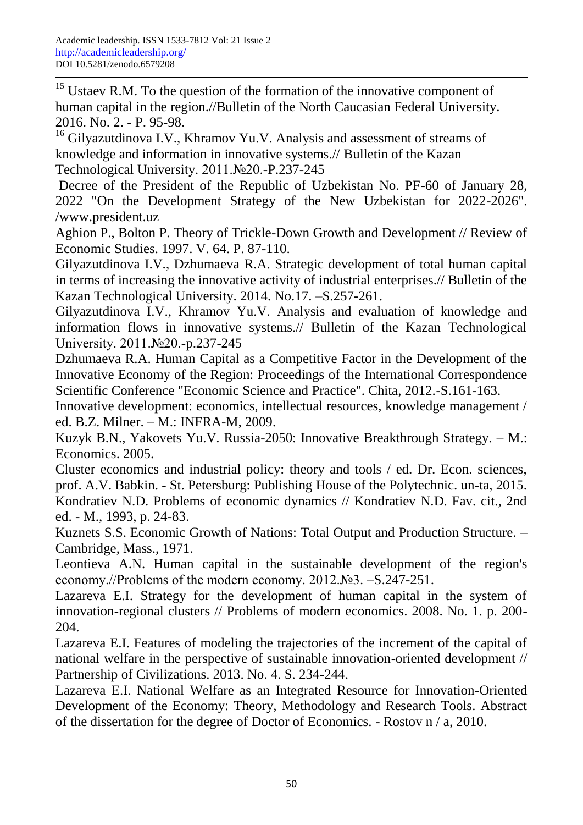**.** 

<sup>15</sup> Ustaev R.M. To the question of the formation of the innovative component of human capital in the region.//Bulletin of the North Caucasian Federal University. 2016. No. 2. - P. 95-98.

<sup>16</sup> Gilyazutdinova I.V., Khramov Yu.V. Analysis and assessment of streams of knowledge and information in innovative systems.// Bulletin of the Kazan Technological University. 2011.№20.-P.237-245

Decree of the President of the Republic of Uzbekistan No. PF-60 of January 28, 2022 "On the Development Strategy of the New Uzbekistan for 2022-2026". /www.president.uz

Aghion P., Bolton P. Theory of Trickle-Down Growth and Development // Review of Economic Studies. 1997. V. 64. P. 87-110.

Gilyazutdinova I.V., Dzhumaeva R.A. Strategic development of total human capital in terms of increasing the innovative activity of industrial enterprises.// Bulletin of the Kazan Technological University. 2014. No.17. –S.257-261.

Gilyazutdinova I.V., Khramov Yu.V. Analysis and evaluation of knowledge and information flows in innovative systems.// Bulletin of the Kazan Technological University. 2011.№20.-p.237-245

Dzhumaeva R.A. Human Capital as a Competitive Factor in the Development of the Innovative Economy of the Region: Proceedings of the International Correspondence Scientific Conference "Economic Science and Practice". Chita, 2012.-S.161-163.

Innovative development: economics, intellectual resources, knowledge management / ed. B.Z. Milner. – M.: INFRA-M, 2009.

Kuzyk B.N., Yakovets Yu.V. Russia-2050: Innovative Breakthrough Strategy. – M.: Economics. 2005.

Cluster economics and industrial policy: theory and tools / ed. Dr. Econ. sciences, prof. A.V. Babkin. - St. Petersburg: Publishing House of the Polytechnic. un-ta, 2015. Kondratiev N.D. Problems of economic dynamics // Kondratiev N.D. Fav. cit., 2nd ed. - M., 1993, p. 24-83.

Kuznets S.S. Economic Growth of Nations: Total Output and Production Structure. – Cambridge, Mass., 1971.

Leontieva A.N. Human capital in the sustainable development of the region's economy.//Problems of the modern economy. 2012.№3. –S.247-251.

Lazareva E.I. Strategy for the development of human capital in the system of innovation-regional clusters // Problems of modern economics. 2008. No. 1. p. 200- 204.

Lazareva E.I. Features of modeling the trajectories of the increment of the capital of national welfare in the perspective of sustainable innovation-oriented development // Partnership of Civilizations. 2013. No. 4. S. 234-244.

Lazareva E.I. National Welfare as an Integrated Resource for Innovation-Oriented Development of the Economy: Theory, Methodology and Research Tools. Abstract of the dissertation for the degree of Doctor of Economics. - Rostov n / a, 2010.